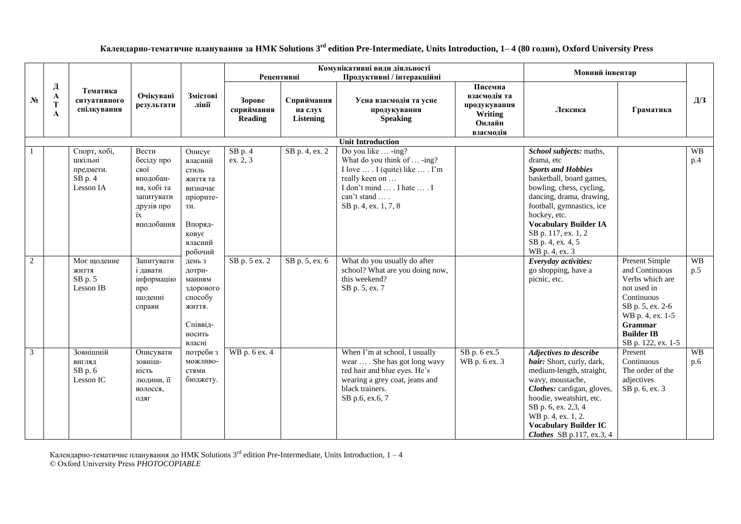**Календарно-тематичне планування за НМК Solutions 3 rd edition Pre-Intermediate, Units Introduction, 1– 4 (80 годин), Oxford University Press**

|                |                  |                                                                |                                                                                                         |                                                                                                                  | <b>Рецептивні</b>                      |                                           | Комунікативні види діяльності<br>Продуктивні / інтеракційні                                                                                                                  |                                                                           | Мовний інвентар                                                                                                                                                                                                                                                                                   |                                                                                                                                                                                       |                  |
|----------------|------------------|----------------------------------------------------------------|---------------------------------------------------------------------------------------------------------|------------------------------------------------------------------------------------------------------------------|----------------------------------------|-------------------------------------------|------------------------------------------------------------------------------------------------------------------------------------------------------------------------------|---------------------------------------------------------------------------|---------------------------------------------------------------------------------------------------------------------------------------------------------------------------------------------------------------------------------------------------------------------------------------------------|---------------------------------------------------------------------------------------------------------------------------------------------------------------------------------------|------------------|
| N <sub>2</sub> | Д<br>A<br>T<br>A | Тематика<br>ситуативного<br>спілкування                        | Очікувані<br>результати                                                                                 | Змістові<br>лінії                                                                                                | Зорове<br>сприймання<br><b>Reading</b> | Сприймання<br>на слух<br><b>Listening</b> | Усна взаємодія та усне<br>продукування<br><b>Speaking</b>                                                                                                                    | Писемна<br>взаємодія та<br>продукування<br>Writing<br>Онлайн<br>взаємодія | Лексика                                                                                                                                                                                                                                                                                           | Граматика                                                                                                                                                                             | Д/З              |
|                |                  |                                                                |                                                                                                         |                                                                                                                  |                                        |                                           | <b>Unit Introduction</b>                                                                                                                                                     |                                                                           |                                                                                                                                                                                                                                                                                                   |                                                                                                                                                                                       |                  |
|                |                  | Спорт, хобі,<br>шкільні<br>предмети.<br>$SB$ p. 4<br>Lesson IA | Вести<br>бесіду про<br>свої<br>вподобан-<br>ня, хобі та<br>запитувати<br>друзів про<br>ïх<br>вподобання | Описує<br>власний<br>стиль<br>життя та<br>визначає<br>пріорите-<br>TИ.<br>Впоряд-<br>ковує<br>власний<br>робочий | $SB$ p. 4<br>ex. 2, 3                  | SB p. 4, ex. 2                            | Do you like  -ing?<br>What do you think of  -ing?<br>I love  . I (quite) like  . I'm<br>really keen on<br>I don't mind  . I hate  . I<br>can't stand<br>SB p. 4, ex. 1, 7, 8 |                                                                           | School subjects: maths,<br>drama, etc<br><b>Sports and Hobbies</b><br>basketball, board games,<br>bowling, chess, cycling,<br>dancing, drama, drawing,<br>football, gymnastics, ice<br>hockey, etc.<br><b>Vocabulary Builder IA</b><br>SB p. 117, ex. 1, 2<br>SB p. 4, ex. 4, 5<br>WB p. 4, ex. 3 |                                                                                                                                                                                       | <b>WB</b><br>p.4 |
| $\overline{2}$ |                  | Моє щоденне<br>ЖИТТЯ<br>SB p. 5<br>Lesson IB                   | Запитувати<br>і давати<br>інформацію<br>про<br>щоденні<br>справи                                        | день з<br>дотри-<br>манням<br>здорового<br>способу<br>життя.<br>Співвід-<br>носить<br>власні                     | SB p. 5 ex. 2                          | SB p. 5, ex. 6                            | What do you usually do after<br>school? What are you doing now,<br>this weekend?<br>SB p. 5, ex. 7                                                                           |                                                                           | Everyday activities:<br>go shopping, have a<br>picnic, etc.                                                                                                                                                                                                                                       | <b>Present Simple</b><br>and Continuous<br>Verbs which are<br>not used in<br>Continuous<br>SB p. 5, ex. 2-6<br>WB p. 4, ex. 1-5<br>Grammar<br><b>Builder IB</b><br>SB p. 122, ex. 1-5 | <b>WB</b><br>p.5 |
| $\overline{3}$ |                  | Зовнішній<br>ВИГЛЯД<br>$SB$ p. $6$<br>Lesson IC                | Описувати<br>зовніш-<br>ність<br>людини, її<br>волосся,<br>ОДЯГ                                         | потреби з<br>можливо-<br>стями<br>бюджету.                                                                       | WB p. 6 ex. 4                          |                                           | When I'm at school, I usually<br>wear  . She has got long wavy<br>red hair and blue eyes. He's<br>wearing a grey coat, jeans and<br>black trainers.<br>SB p.6, ex.6, 7       | SB p. 6 ex.5<br>WB p. 6 ex. 3                                             | Adjectives to describe<br>hair: Short, curly, dark,<br>medium-length, straight,<br>wavy, moustache,<br>Clothes: cardigan, gloves,<br>hoodie, sweatshirt, etc.<br>SB p. 6, ex. 2,3, 4<br>WB p. 4, ex. 1, 2.<br><b>Vocabulary Builder IC</b><br>Clothes SB p.117, ex.3, 4                           | Present<br>Continuous<br>The order of the<br>adjectives<br>SB p. 6, ex. 3                                                                                                             | <b>WB</b><br>p.6 |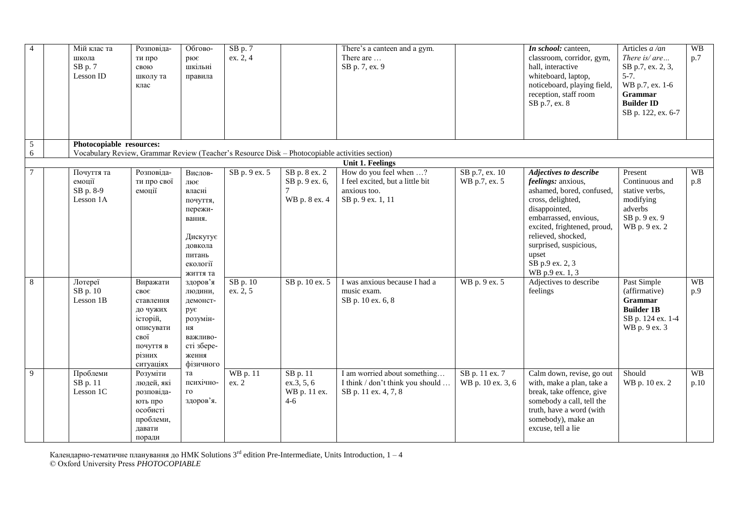| $\overline{4}$ | Мій клас та<br>школа<br>$SB$ p. $7$<br>Lesson ID                                               | Розповіда-<br>ти про<br>свою<br>школу та<br>клас                                                                                     | Обгово-<br>рює<br>шкільні<br>правила                                                                               | SB p. 7<br>ex. 2, 4      |                                                                | There's a canteen and a gym.<br>There are<br>SB p. 7, ex. 9                                     |                                     | In school: canteen,<br>classroom, corridor, gym,<br>hall, interactive<br>whiteboard, laptop,<br>noticeboard, playing field,<br>reception, staff room<br>SB p.7, ex. 8                                                                                                         | Articles a /an<br>There is/ $are$<br>SB p.7, ex. 2, 3,<br>$5 - 7.$<br>WB p.7, ex. 1-6<br>Grammar<br><b>Builder ID</b><br>SB p. 122, ex. 6-7 | <b>WB</b><br>p.7  |
|----------------|------------------------------------------------------------------------------------------------|--------------------------------------------------------------------------------------------------------------------------------------|--------------------------------------------------------------------------------------------------------------------|--------------------------|----------------------------------------------------------------|-------------------------------------------------------------------------------------------------|-------------------------------------|-------------------------------------------------------------------------------------------------------------------------------------------------------------------------------------------------------------------------------------------------------------------------------|---------------------------------------------------------------------------------------------------------------------------------------------|-------------------|
| $\mathfrak{S}$ | Photocopiable resources:                                                                       |                                                                                                                                      |                                                                                                                    |                          |                                                                |                                                                                                 |                                     |                                                                                                                                                                                                                                                                               |                                                                                                                                             |                   |
| 6              | Vocabulary Review, Grammar Review (Teacher's Resource Disk - Photocopiable activities section) |                                                                                                                                      |                                                                                                                    |                          |                                                                | <b>Unit 1. Feelings</b>                                                                         |                                     |                                                                                                                                                                                                                                                                               |                                                                                                                                             |                   |
| $\overline{7}$ | Почуття та<br>емоції<br>SB p. 8-9<br>Lesson 1A                                                 | Розповіда-<br>ти про свої<br>емоції                                                                                                  | Вислов-<br>лює<br>власні<br>почуття,<br>пережи-<br>вання.<br>Дискутує<br>довкола<br>питань<br>екології<br>життя та | SB p. 9 ex. 5            | SB p. 8 ex. 2<br>SB p. 9 ex. 6,<br>WB p. 8 ex. 4               | How do you feel when ?<br>I feel excited, but a little bit<br>anxious too.<br>SB p. 9 ex. 1, 11 | SB p.7, ex. 10<br>WB p.7, ex. 5     | <b>Adjectives to describe</b><br>feelings: anxious,<br>ashamed, bored, confused,<br>cross, delighted,<br>disappointed,<br>embarrassed, envious,<br>excited, frightened, proud,<br>relieved, shocked,<br>surprised, suspicious,<br>upset<br>SB p.9 ex. 2, 3<br>WB p.9 ex. 1, 3 | Present<br>Continuous and<br>stative verbs,<br>modifying<br>adverbs<br>SB p. 9 ex. 9<br>WB p. 9 ex. 2                                       | <b>WB</b><br>p.8  |
| 8              | Лотереї<br>SB p. 10<br>Lesson 1B                                                               | Виражати<br>$\texttt{c}$ BO $\epsilon$<br>ставлення<br>до чужих<br>історій,<br>описувати<br>свої<br>почуття в<br>різних<br>ситуаціях | здоров'я<br>людини,<br>демонст-<br>рує<br>розумін-<br><b>HA</b><br>важливо-<br>сті збере-<br>ження<br>фізичного    | SB p. 10<br>ex. 2, 5     | SB p. 10 ex. 5                                                 | I was anxious because I had a<br>music exam.<br>SB p. 10 ex. 6, 8                               | WB p. 9 ex. 5                       | Adjectives to describe<br>feelings                                                                                                                                                                                                                                            | Past Simple<br>(affirmative)<br><b>Grammar</b><br><b>Builder 1B</b><br>SB p. 124 ex. 1-4<br>WB p. 9 ex. 3                                   | <b>WB</b><br>p.9  |
| 9              | Проблеми<br>SB p. 11<br>Lesson 1C                                                              | Розуміти<br>людей, які<br>розповіда-<br>ють про<br>особисті<br>проблеми,<br>давати<br>поради                                         | та<br>психічно-<br>$\Gamma$ O<br>здоров'я.                                                                         | <b>WB</b> p. 11<br>ex. 2 | SB p. 11<br>$ex.\overline{3}, 5, 6$<br>WB p. 11 ex.<br>$4 - 6$ | I am worried about something<br>I think / don't think you should<br>SB p. 11 ex. 4, 7, 8        | SB p. 11 ex. 7<br>WB p. 10 ex. 3, 6 | Calm down, revise, go out<br>with, make a plan, take a<br>break, take offence, give<br>somebody a call, tell the<br>truth, have a word (with<br>somebody), make an<br>excuse, tell a lie                                                                                      | Should<br>WB p. 10 ex. 2                                                                                                                    | <b>WB</b><br>p.10 |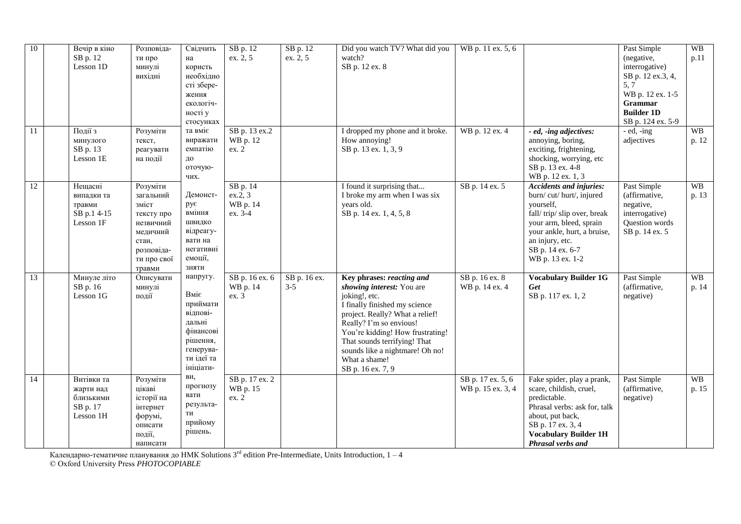| 10              | SB p. 12            | Вечір в кіно<br>Lesson 1D                         | Розповіда-<br>ти про<br>минулі<br>вихідні                                                                             | Свідчить<br>на<br>користь<br>необхідно<br>сті збере-<br>ження<br>екологіч-<br>ності у<br>стосунках                  | SB p. 12<br>ex. 2, 5                       | SB p. 12<br>ex. 2, 5    | Did you watch TV? What did you<br>watch?<br>SB p. 12 ex. 8                                                                                                                                                                                                                                                          | WB p. 11 ex. 5, 6                      |                                                                                                                                                                                                                           | Past Simple<br>(negative,<br>interrogative)<br>SB p. 12 ex.3, 4,<br>5, 7<br>WB p. 12 ex. 1-5<br><b>Grammar</b><br><b>Builder 1D</b><br>SB p. 124 ex. 5-9 | WB<br>p.11         |
|-----------------|---------------------|---------------------------------------------------|-----------------------------------------------------------------------------------------------------------------------|---------------------------------------------------------------------------------------------------------------------|--------------------------------------------|-------------------------|---------------------------------------------------------------------------------------------------------------------------------------------------------------------------------------------------------------------------------------------------------------------------------------------------------------------|----------------------------------------|---------------------------------------------------------------------------------------------------------------------------------------------------------------------------------------------------------------------------|----------------------------------------------------------------------------------------------------------------------------------------------------------|--------------------|
| 11              | Події з<br>SB p. 13 | минулого<br>Lesson 1E                             | Розуміти<br>текст,<br>реагувати<br>на події                                                                           | та вміє<br>виражати<br>емпатію<br>ДО<br>оточую-<br>чих.                                                             | SB p. 13 ex.2<br>WB p. 12<br>ex. 2         |                         | I dropped my phone and it broke.<br>How annoying!<br>SB p. 13 ex. 1, 3, 9                                                                                                                                                                                                                                           | WB p. 12 ex. 4                         | - ed, -ing adjectives:<br>annoying, boring,<br>exciting, frightening,<br>shocking, worrying, etc<br>SB p. 13 ex. 4-8<br>WB p. 12 ex. 1, 3                                                                                 | $-$ ed, $-$ ing<br>adjectives                                                                                                                            | <b>WB</b><br>p. 12 |
| 12              | травми              | Нещасні<br>випадки та<br>SB p.1 4-15<br>Lesson 1F | Розуміти<br>загальний<br>зміст<br>тексту про<br>незвичний<br>медичний<br>стан,<br>розповіда-<br>ти про свої<br>травми | Демонст-<br>рує<br>вміння<br>ШВИДКО<br>відреагу-<br>вати на<br>негативні<br>емоції,<br>зняти                        | SB p. 14<br>ex.2, 3<br>WB p. 14<br>ex. 3-4 |                         | I found it surprising that<br>I broke my arm when I was six<br>years old.<br>SB p. 14 ex. 1, 4, 5, 8                                                                                                                                                                                                                | SB p. 14 ex. 5                         | <b>Accidents and injuries:</b><br>burn/cut/hurt/, injured<br>yourself,<br>fall/trip/slip over, break<br>your arm, bleed, sprain<br>your ankle, hurt, a bruise,<br>an injury, etc.<br>SB p. 14 ex. 6-7<br>WB p. 13 ex. 1-2 | Past Simple<br>(affirmative,<br>negative,<br>interrogative)<br>Question words<br>SB p. 14 ex. 5                                                          | <b>WB</b><br>p. 13 |
| 13              | SB p. 16            | Минуле літо<br>Lesson 1G                          | Описувати<br>минулі<br>події                                                                                          | напругу.<br>Вміє<br>приймати<br>відпові-<br>дальні<br>фінансові<br>рішення,<br>генерува-<br>ти ідеї та<br>ініціати- | SB p. 16 ex. 6<br>WB p. 14<br>ex.3         | SB p. 16 ex.<br>$3 - 5$ | Key phrases: reacting and<br>showing interest: You are<br>joking!, etc.<br>I finally finished my science<br>project. Really? What a relief!<br>Really? I'm so envious!<br>You're kidding! How frustrating!<br>That sounds terrifying! That<br>sounds like a nightmare! Oh no!<br>What a shame!<br>SB p. 16 ex. 7, 9 | SB p. 16 ex. 8<br>WB p. 14 ex. 4       | <b>Vocabulary Builder 1G</b><br>Get<br>SB p. 117 ex. 1, 2                                                                                                                                                                 | Past Simple<br>(affirmative,<br>negative)                                                                                                                | <b>WB</b><br>p. 14 |
| $\overline{14}$ | SB p. 17            | Витівки та<br>жарти над<br>близькими<br>Lesson 1H | Розуміти<br>цікаві<br>історії на<br>інтернет<br>форумі,<br>описати<br>події,<br>написати                              | ви,<br>прогнозу<br>вати<br>результа-<br>TИ<br>прийому<br>рішень.                                                    | SB p. 17 ex. 2<br>WB p. 15<br>ex. 2        |                         |                                                                                                                                                                                                                                                                                                                     | SB p. 17 ex. 5, 6<br>WB p. 15 ex. 3, 4 | Fake spider, play a prank,<br>scare, childish, cruel,<br>predictable.<br>Phrasal verbs: ask for, talk<br>about, put back,<br>SB p. 17 ex. 3, 4<br><b>Vocabulary Builder 1H</b><br>Phrasal verbs and                       | Past Simple<br>(affirmative,<br>negative)                                                                                                                | <b>WB</b><br>p. 15 |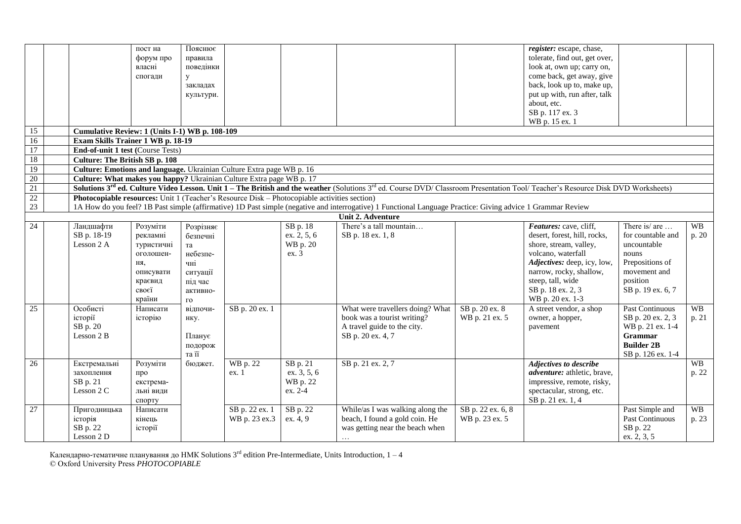|                 |                                                                                              | пост на    | Пояснює      |                |             |                                                                                                                                                                                                          |                   | register: escape, chase,           |                   |           |
|-----------------|----------------------------------------------------------------------------------------------|------------|--------------|----------------|-------------|----------------------------------------------------------------------------------------------------------------------------------------------------------------------------------------------------------|-------------------|------------------------------------|-------------------|-----------|
|                 |                                                                                              | форум про  | правила      |                |             |                                                                                                                                                                                                          |                   | tolerate, find out, get over,      |                   |           |
|                 |                                                                                              | власні     | поведінки    |                |             |                                                                                                                                                                                                          |                   | look at, own up; carry on,         |                   |           |
|                 |                                                                                              | спогади    | $\mathbf{y}$ |                |             |                                                                                                                                                                                                          |                   | come back, get away, give          |                   |           |
|                 |                                                                                              |            | закладах     |                |             |                                                                                                                                                                                                          |                   | back, look up to, make up,         |                   |           |
|                 |                                                                                              |            | культури.    |                |             |                                                                                                                                                                                                          |                   | put up with, run after, talk       |                   |           |
|                 |                                                                                              |            |              |                |             |                                                                                                                                                                                                          |                   | about, etc.                        |                   |           |
|                 |                                                                                              |            |              |                |             |                                                                                                                                                                                                          |                   | SB p. 117 ex. 3                    |                   |           |
|                 |                                                                                              |            |              |                |             |                                                                                                                                                                                                          |                   | WB p. 15 ex. 1                     |                   |           |
| $\overline{15}$ | Cumulative Review: 1 (Units I-1) WB p. 108-109                                               |            |              |                |             |                                                                                                                                                                                                          |                   |                                    |                   |           |
| 16              | Exam Skills Trainer 1 WB p. 18-19                                                            |            |              |                |             |                                                                                                                                                                                                          |                   |                                    |                   |           |
| $\overline{17}$ | <b>End-of-unit 1 test (Course Tests)</b>                                                     |            |              |                |             |                                                                                                                                                                                                          |                   |                                    |                   |           |
| 18              | <b>Culture: The British SB p. 108</b>                                                        |            |              |                |             |                                                                                                                                                                                                          |                   |                                    |                   |           |
| 19              | Culture: Emotions and language. Ukrainian Culture Extra page WB p. 16                        |            |              |                |             |                                                                                                                                                                                                          |                   |                                    |                   |           |
| 20              | Culture: What makes you happy? Ukrainian Culture Extra page WB p. 17                         |            |              |                |             |                                                                                                                                                                                                          |                   |                                    |                   |           |
| 21              |                                                                                              |            |              |                |             | Solutions 3 <sup>rd</sup> ed. Culture Video Lesson. Unit 1 - The British and the weather (Solutions 3 <sup>rd</sup> ed. Course DVD/ Classroom Presentation Tool/ Teacher's Resource Disk DVD Worksheets) |                   |                                    |                   |           |
| 22              | Photocopiable resources: Unit 1 (Teacher's Resource Disk – Photocopiable activities section) |            |              |                |             |                                                                                                                                                                                                          |                   |                                    |                   |           |
| 23              |                                                                                              |            |              |                |             | 1A How do you feel? 1B Past simple (affirmative) 1D Past simple (negative and interrogative) 1 Functional Language Practice: Giving advice 1 Grammar Review                                              |                   |                                    |                   |           |
|                 |                                                                                              |            |              |                |             | Unit 2. Adventure                                                                                                                                                                                        |                   |                                    |                   |           |
| 24              | Ландшафти                                                                                    | Розуміти   | Розрізняє    |                | SB p. 18    | There's a tall mountain                                                                                                                                                                                  |                   | Features: cave, cliff,             | There is/ are     | <b>WB</b> |
|                 | SB p. 18-19                                                                                  | рекламні   | безпечні     |                | ex. 2, 5, 6 | SB p. 18 ex. 1, 8                                                                                                                                                                                        |                   | desert, forest, hill, rocks,       | for countable and | p. 20     |
|                 | Lesson 2 A                                                                                   | туристичні | та           |                | WB p. 20    |                                                                                                                                                                                                          |                   | shore, stream, valley,             | uncountable       |           |
|                 |                                                                                              | оголошен-  | небезпе-     |                | ex. 3       |                                                                                                                                                                                                          |                   | volcano, waterfall                 | nouns             |           |
|                 |                                                                                              | ня,        | чні          |                |             |                                                                                                                                                                                                          |                   | Adjectives: deep, icy, low,        | Prepositions of   |           |
|                 |                                                                                              | описувати  | ситуації     |                |             |                                                                                                                                                                                                          |                   | narrow, rocky, shallow,            | movement and      |           |
|                 |                                                                                              | краєвид    | під час      |                |             |                                                                                                                                                                                                          |                   | steep, tall, wide                  | position          |           |
|                 |                                                                                              | своєї      | активно-     |                |             |                                                                                                                                                                                                          |                   | SB p. 18 ex. 2, 3                  | SB p. 19 ex. 6, 7 |           |
|                 |                                                                                              | країни     | $\Gamma$ O   |                |             |                                                                                                                                                                                                          |                   | WB p. 20 ex. 1-3                   |                   |           |
| $\overline{25}$ | Особисті                                                                                     | Написати   | відпочи-     | SB p. 20 ex. 1 |             | What were travellers doing? What                                                                                                                                                                         | SB p. 20 ex. 8    | A street vendor, a shop            | Past Continuous   | <b>WB</b> |
|                 | історії                                                                                      | історію    | нку.         |                |             | book was a tourist writing?                                                                                                                                                                              | WB p. 21 ex. 5    | owner, a hopper,                   | SB p. 20 ex. 2, 3 | p. 21     |
|                 | SB p. 20                                                                                     |            |              |                |             | A travel guide to the city.                                                                                                                                                                              |                   | pavement                           | WB p. 21 ex. 1-4  |           |
|                 | Lesson 2 B                                                                                   |            | Планує       |                |             | SB p. 20 ex. 4, 7                                                                                                                                                                                        |                   |                                    | Grammar           |           |
|                 |                                                                                              |            | подорож      |                |             |                                                                                                                                                                                                          |                   |                                    | <b>Builder 2B</b> |           |
|                 |                                                                                              |            | та її        |                |             |                                                                                                                                                                                                          |                   |                                    | SB p. 126 ex. 1-4 |           |
| 26              | Екстремальні                                                                                 | Розуміти   | бюджет.      | WB p. 22       | SB p. 21    | SB p. 21 ex. 2, 7                                                                                                                                                                                        |                   | Adjectives to describe             |                   | <b>WB</b> |
|                 | захоплення                                                                                   | про        |              | ex. 1          | ex. 3, 5, 6 |                                                                                                                                                                                                          |                   | <i>adventure:</i> athletic, brave, |                   | p. 22     |
|                 | SB p. 21                                                                                     | екстрема-  |              |                | WB p. 22    |                                                                                                                                                                                                          |                   | impressive, remote, risky,         |                   |           |
|                 | Lesson 2 C                                                                                   | льні види  |              |                | ex. 2-4     |                                                                                                                                                                                                          |                   | spectacular, strong, etc.          |                   |           |
|                 |                                                                                              | спорту     |              |                |             |                                                                                                                                                                                                          |                   | SB p. 21 ex. 1, 4                  |                   |           |
| 27              | Пригодницька                                                                                 | Написати   |              | SB p. 22 ex. 1 | SB p. 22    | While/as I was walking along the                                                                                                                                                                         | SB p. 22 ex. 6, 8 |                                    | Past Simple and   | WB        |
|                 | історія                                                                                      | кінець     |              | WB p. 23 ex.3  | ex. 4, 9    | beach, I found a gold coin. He                                                                                                                                                                           | WB p. 23 ex. 5    |                                    | Past Continuous   | p. 23     |
|                 | SB p. 22                                                                                     | історії    |              |                |             | was getting near the beach when                                                                                                                                                                          |                   |                                    | SB p. 22          |           |
|                 | Lesson 2 D                                                                                   |            |              |                |             | $\cdots$                                                                                                                                                                                                 |                   |                                    | ex. 2, 3, 5       |           |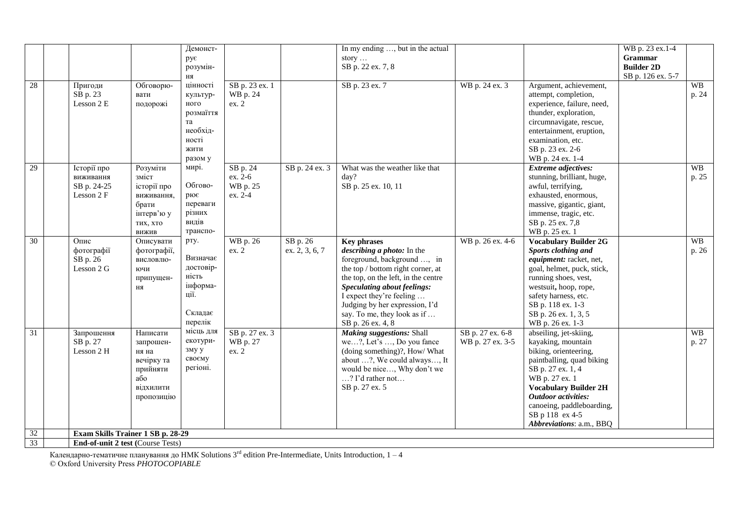|                 |                                                       |                                                                                            | Демонст-<br>рує<br>розумін-                                                                   |                                            |                            | In my ending , but in the actual<br>story<br>SB p. 22 ex. 7, 8                                                                                                                                                                                                                                               |                                      |                                                                                                                                                                                                                                                                                     | WB p. 23 ex.1-4<br>Grammar<br><b>Builder 2D</b> |                    |
|-----------------|-------------------------------------------------------|--------------------------------------------------------------------------------------------|-----------------------------------------------------------------------------------------------|--------------------------------------------|----------------------------|--------------------------------------------------------------------------------------------------------------------------------------------------------------------------------------------------------------------------------------------------------------------------------------------------------------|--------------------------------------|-------------------------------------------------------------------------------------------------------------------------------------------------------------------------------------------------------------------------------------------------------------------------------------|-------------------------------------------------|--------------------|
| 28              | Пригоди<br>SB p. 23<br>Lesson 2 E                     | Обговорю-<br>вати<br>подорожі                                                              | ня<br>цінності<br>культур-<br>ного<br>розмаїття<br>та<br>необхід-<br>ності<br>жити<br>разом у | SB p. 23 ex. 1<br>WB p. 24<br>ex. 2        |                            | SB p. 23 ex. 7                                                                                                                                                                                                                                                                                               | WB p. 24 ex. 3                       | Argument, achievement,<br>attempt, completion,<br>experience, failure, need,<br>thunder, exploration,<br>circumnavigate, rescue,<br>entertainment, eruption,<br>examination, etc.<br>SB p. 23 ex. 2-6<br>WB p. 24 ex. 1-4                                                           | SB p. 126 ex. 5-7                               | <b>WB</b><br>p. 24 |
| 29              | Історії про<br>виживання<br>SB p. 24-25<br>Lesson 2 F | Розуміти<br>зміст<br>історії про<br>виживання,<br>брати<br>інтерв'ю у<br>тих, хто<br>вижив | мирі.<br>Обгово-<br>рює<br>переваги<br>різних<br>видів<br>транспо-                            | SB p. 24<br>ex. 2-6<br>WB p. 25<br>ex. 2-4 | SB p. 24 ex. 3             | What was the weather like that<br>day?<br>SB p. 25 ex. 10, 11                                                                                                                                                                                                                                                |                                      | <b>Extreme</b> adjectives:<br>stunning, brilliant, huge,<br>awful, terrifying,<br>exhausted, enormous,<br>massive, gigantic, giant,<br>immense, tragic, etc.<br>SB p. 25 ex. 7,8<br>WB p. 25 ex. 1                                                                                  |                                                 | <b>WB</b><br>p. 25 |
| $\overline{30}$ | Опис<br>фотографії<br>SB p. 26<br>Lesson 2 G          | Описувати<br>фотографії,<br>висловлю-<br>ючи<br>припущен-<br><b>HA</b>                     | рту.<br>Визначає<br>достовір-<br>ність<br>інформа-<br>ції.<br>Складає<br>перелік              | WB p. 26<br>ex. 2                          | SB p. 26<br>ex. 2, 3, 6, 7 | <b>Key phrases</b><br>describing a photo: In the<br>foreground, background , in<br>the top / bottom right corner, at<br>the top, on the left, in the centre<br>Speculating about feelings:<br>I expect they're feeling<br>Judging by her expression, I'd<br>say. To me, they look as if<br>SB p. 26 ex. 4, 8 | WB p. 26 ex. 4-6                     | <b>Vocabulary Builder 2G</b><br>Sports clothing and<br>equipment: racket, net,<br>goal, helmet, puck, stick,<br>running shoes, vest,<br>westsuit, hoop, rope,<br>safety harness, etc.<br>SB p. 118 ex. 1-3<br>SB p. 26 ex. 1, 3, 5<br>WB p. 26 ex. 1-3                              |                                                 | <b>WB</b><br>p. 26 |
| 31              | Запрошення<br>SB p. 27<br>Lesson 2 H                  | Написати<br>запрошен-<br>ня на<br>вечірку та<br>прийняти<br>або<br>відхилити<br>пропозицію | місць для<br>екотури-<br>зму у<br>своєму<br>регіоні.                                          | SB p. 27 ex. 3<br>WB p. 27<br>ex. 2        |                            | <b>Making suggestions: Shall</b><br>we?, Let's , Do you fance<br>(doing something)?, How/ What<br>about ?, We could always, It<br>would be nice, Why don't we<br>? I'd rather not<br>SB p. 27 ex. 5                                                                                                          | SB p. 27 ex. 6-8<br>WB p. 27 ex. 3-5 | abseiling, jet-skiing,<br>kayaking, mountain<br>biking, orienteering,<br>paintballing, quad biking<br>SB p. 27 ex. 1, 4<br>WB p. 27 ex. 1<br><b>Vocabulary Builder 2H</b><br><b>Outdoor activities:</b><br>canoeing, paddleboarding,<br>SB p 118 ex 4-5<br>Abbreviations: a.m., BBQ |                                                 | WB<br>p. 27        |
| 32              | Exam Skills Trainer 1 SB p. 28-29                     |                                                                                            |                                                                                               |                                            |                            |                                                                                                                                                                                                                                                                                                              |                                      |                                                                                                                                                                                                                                                                                     |                                                 |                    |
| 33              | <b>End-of-unit 2 test (Course Tests)</b>              |                                                                                            |                                                                                               |                                            |                            |                                                                                                                                                                                                                                                                                                              |                                      |                                                                                                                                                                                                                                                                                     |                                                 |                    |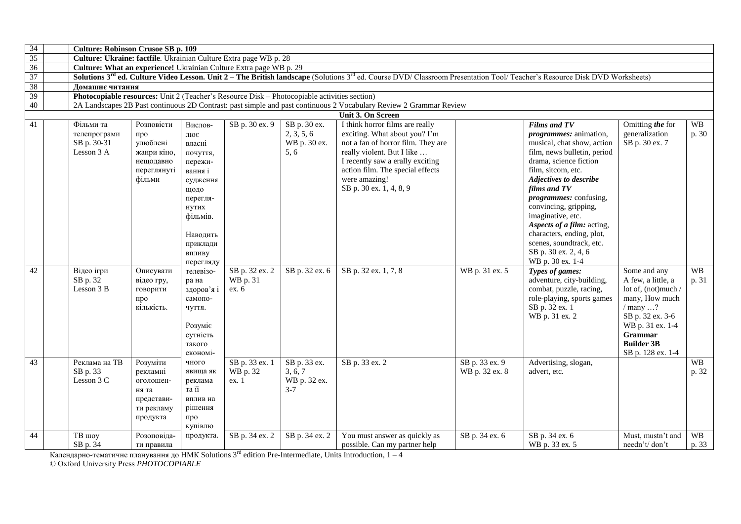| 34 | <b>Culture: Robinson Crusoe SB p. 109</b>                                                    |             |                        |                |                |                                                                                                                                                                                                   |                |                                                 |                     |           |
|----|----------------------------------------------------------------------------------------------|-------------|------------------------|----------------|----------------|---------------------------------------------------------------------------------------------------------------------------------------------------------------------------------------------------|----------------|-------------------------------------------------|---------------------|-----------|
| 35 | Culture: Ukraine: factfile. Ukrainian Culture Extra page WB p. 28                            |             |                        |                |                |                                                                                                                                                                                                   |                |                                                 |                     |           |
| 36 | Culture: What an experience! Ukrainian Culture Extra page WB p. 29                           |             |                        |                |                |                                                                                                                                                                                                   |                |                                                 |                     |           |
| 37 |                                                                                              |             |                        |                |                | Solutions 3 <sup>rd</sup> ed. Culture Video Lesson. Unit 2 – The British landscape (Solutions <sup>3rd</sup> ed. Course DVD/ Classroom Presentation Tool/ Teacher's Resource Disk DVD Worksheets) |                |                                                 |                     |           |
| 38 | Домашнє читання                                                                              |             |                        |                |                |                                                                                                                                                                                                   |                |                                                 |                     |           |
| 39 | Photocopiable resources: Unit 2 (Teacher's Resource Disk - Photocopiable activities section) |             |                        |                |                |                                                                                                                                                                                                   |                |                                                 |                     |           |
| 40 |                                                                                              |             |                        |                |                | 2A Landscapes 2B Past continuous 2D Contrast: past simple and past continuous 2 Vocabulary Review 2 Grammar Review                                                                                |                |                                                 |                     |           |
|    |                                                                                              |             |                        |                |                | Unit 3. On Screen                                                                                                                                                                                 |                |                                                 |                     |           |
| 41 | Фільми та                                                                                    | Розповісти  | Вислов-                | SB p. 30 ex. 9 | SB p. 30 ex.   | I think horror films are really                                                                                                                                                                   |                | <b>Films and TV</b>                             | Omitting the for    | <b>WB</b> |
|    | телепрограми                                                                                 | про         | лює                    |                | 2, 3, 5, 6     | exciting. What about you? I'm                                                                                                                                                                     |                | <i>programmes:</i> animation,                   | generalization      | p. 30     |
|    | SB p. 30-31                                                                                  | улюблені    | власні                 |                | WB p. 30 ex.   | not a fan of horror film. They are                                                                                                                                                                |                | musical, chat show, action                      | SB p. 30 ex. 7      |           |
|    | Lesson 3 A                                                                                   | жанри кіно, | почуття,               |                | 5, 6           | really violent. But I like                                                                                                                                                                        |                | film, news bulletin, period                     |                     |           |
|    |                                                                                              | нещодавно   | пережи-                |                |                | I recently saw a erally exciting                                                                                                                                                                  |                | drama, science fiction                          |                     |           |
|    |                                                                                              | переглянуті | вання і                |                |                | action film. The special effects                                                                                                                                                                  |                | film, sitcom, etc.                              |                     |           |
|    |                                                                                              | фільми      | судження               |                |                | were amazing!                                                                                                                                                                                     |                | Adjectives to describe                          |                     |           |
|    |                                                                                              |             | щодо                   |                |                | SB p. 30 ex. 1, 4, 8, 9                                                                                                                                                                           |                | films and TV                                    |                     |           |
|    |                                                                                              |             | перегля-               |                |                |                                                                                                                                                                                                   |                | <i>programmes:</i> confusing,                   |                     |           |
|    |                                                                                              |             | нутих                  |                |                |                                                                                                                                                                                                   |                | convincing, gripping,                           |                     |           |
|    |                                                                                              |             | фільмів.               |                |                |                                                                                                                                                                                                   |                | imaginative, etc.<br>Aspects of a film: acting, |                     |           |
|    |                                                                                              |             |                        |                |                |                                                                                                                                                                                                   |                | characters, ending, plot,                       |                     |           |
|    |                                                                                              |             | Наводить               |                |                |                                                                                                                                                                                                   |                | scenes, soundtrack, etc.                        |                     |           |
|    |                                                                                              |             | приклади               |                |                |                                                                                                                                                                                                   |                | SB p. 30 ex. 2, 4, 6                            |                     |           |
|    |                                                                                              |             | впливу                 |                |                |                                                                                                                                                                                                   |                | WB p. 30 ex. 1-4                                |                     |           |
| 42 | Відео ігри                                                                                   | Описувати   | перегляду<br>телевізо- | SB p. 32 ex. 2 | SB p. 32 ex. 6 | SB p. 32 ex. 1, 7, 8                                                                                                                                                                              | WB p. 31 ex. 5 | Types of games:                                 | Some and any        | <b>WB</b> |
|    | SB p. 32                                                                                     | відео гру,  | ра на                  | WB p. 31       |                |                                                                                                                                                                                                   |                | adventure, city-building,                       | A few, a little, a  | p. 31     |
|    | Lesson 3 B                                                                                   | говорити    | здоров'я і             | ex. 6          |                |                                                                                                                                                                                                   |                | combat, puzzle, racing,                         | lot of, (not)much / |           |
|    |                                                                                              | про         | самопо-                |                |                |                                                                                                                                                                                                   |                | role-playing, sports games                      | many, How much      |           |
|    |                                                                                              | кількість.  | чуття.                 |                |                |                                                                                                                                                                                                   |                | SB p. 32 ex. 1                                  | / many ?            |           |
|    |                                                                                              |             |                        |                |                |                                                                                                                                                                                                   |                | WB p. 31 ex. 2                                  | SB p. 32 ex. 3-6    |           |
|    |                                                                                              |             | Розуміє                |                |                |                                                                                                                                                                                                   |                |                                                 | WB p. 31 ex. 1-4    |           |
|    |                                                                                              |             | сутність               |                |                |                                                                                                                                                                                                   |                |                                                 | Grammar             |           |
|    |                                                                                              |             | такого                 |                |                |                                                                                                                                                                                                   |                |                                                 | <b>Builder 3B</b>   |           |
|    |                                                                                              |             | економі-               |                |                |                                                                                                                                                                                                   |                |                                                 | SB p. 128 ex. 1-4   |           |
| 43 | Реклама на ТВ                                                                                | Розуміти    | чного                  | SB p. 33 ex. 1 | SB p. 33 ex.   | SB p. 33 ex. 2                                                                                                                                                                                    | SB p. 33 ex. 9 | Advertising, slogan,                            |                     | <b>WB</b> |
|    | SB p. 33                                                                                     | рекламні    | явища як               | WB p. 32       | 3, 6, 7        |                                                                                                                                                                                                   | WB p. 32 ex. 8 | advert, etc.                                    |                     | p. 32     |
|    | Lesson 3 C                                                                                   | оголошен-   | реклама                | ex. 1          | WB p. 32 ex.   |                                                                                                                                                                                                   |                |                                                 |                     |           |
|    |                                                                                              | ня та       | та її                  |                | $3 - 7$        |                                                                                                                                                                                                   |                |                                                 |                     |           |
|    |                                                                                              | представи-  | вплив на               |                |                |                                                                                                                                                                                                   |                |                                                 |                     |           |
|    |                                                                                              | ти рекламу  | рішення                |                |                |                                                                                                                                                                                                   |                |                                                 |                     |           |
|    |                                                                                              | продукта    | про                    |                |                |                                                                                                                                                                                                   |                |                                                 |                     |           |
|    |                                                                                              |             | купівлю                |                |                |                                                                                                                                                                                                   |                |                                                 |                     |           |
| 44 | ТВ шоу                                                                                       | Розоповіда- | продукта.              | SB p. 34 ex. 2 | SB p. 34 ex. 2 | You must answer as quickly as                                                                                                                                                                     | SB p. 34 ex. 6 | SB p. 34 ex. 6                                  | Must, mustn't and   | <b>WB</b> |
|    | SB p. 34                                                                                     | ти правила  |                        |                |                | possible. Can my partner help                                                                                                                                                                     |                | WB p. 33 ex. 5                                  | needn't/don't       | p. 33     |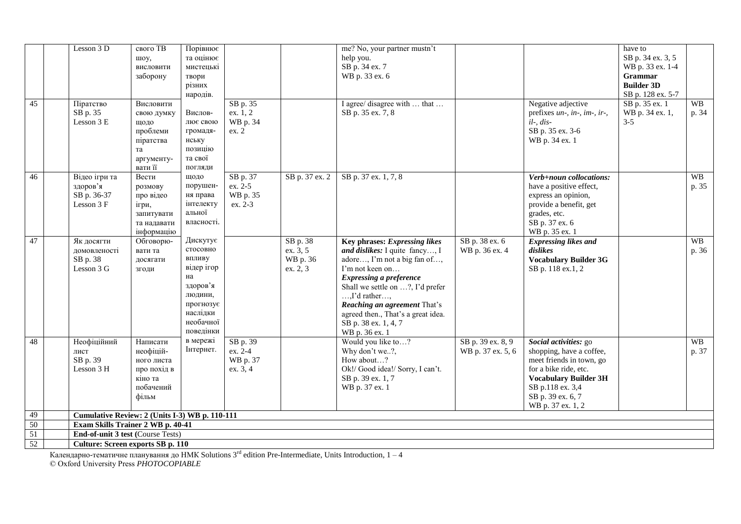| 45 | Lesson 3 D<br>Піратство                                | свого ТВ<br>шоу,<br>висловити<br>заборону<br>Висловити                              | Порівнює<br>та оцінює<br>мистецькі<br>твори<br>різних<br>народів.                                                            | SB p. 35                                    |                                              | me? No, your partner mustn't<br>help you.<br>SB p. 34 ex. 7<br>WB p. 33 ex. 6<br>I agree/ disagree with  that                                                                                                                                                                                                                  |                                        | Negative adjective                                                                                                                                                                                   | have to<br>SB p. 34 ex. 3, 5<br>WB p. 33 ex. 1-4<br>Grammar<br><b>Builder 3D</b><br>SB p. 128 ex. 5-7<br>SB p. 35 ex. 1 | <b>WB</b>          |
|----|--------------------------------------------------------|-------------------------------------------------------------------------------------|------------------------------------------------------------------------------------------------------------------------------|---------------------------------------------|----------------------------------------------|--------------------------------------------------------------------------------------------------------------------------------------------------------------------------------------------------------------------------------------------------------------------------------------------------------------------------------|----------------------------------------|------------------------------------------------------------------------------------------------------------------------------------------------------------------------------------------------------|-------------------------------------------------------------------------------------------------------------------------|--------------------|
|    | SB p. 35<br>Lesson 3 E                                 | свою думку<br>щодо<br>проблеми<br>піратства<br>та<br>аргументу-<br>вати її          | Вислов-<br>лює свою<br>громадя-<br>нську<br>позицію<br>та свої<br>погляди                                                    | ex. 1, 2<br>WB p. 34<br>ex. 2               |                                              | SB p. 35 ex. 7, 8                                                                                                                                                                                                                                                                                                              |                                        | prefixes un-, in-, im-, ir-,<br>$il$ -, $dis$ -<br>SB p. 35 ex. 3-6<br>WB p. 34 ex. 1                                                                                                                | WB p. 34 ex. 1,<br>$3 - 5$                                                                                              | p. 34              |
| 46 | Відео ігри та<br>здоров'я<br>SB p. 36-37<br>Lesson 3 F | Вести<br>розмову<br>про відео<br>ігри,<br>запитувати<br>та надавати<br>інформацію   | щодо<br>порушен-<br>ня права<br>інтелекту<br>альної<br>власності.                                                            | SB p. 37<br>ex. 2-5<br>WB p. 35<br>ex. 2-3  | SB p. 37 ex. 2                               | SB p. 37 ex. 1, 7, 8                                                                                                                                                                                                                                                                                                           |                                        | Verb+noun collocations:<br>have a positive effect,<br>express an opinion,<br>provide a benefit, get<br>grades, etc.<br>SB p. 37 ex. 6<br>WB p. 35 ex. 1                                              |                                                                                                                         | <b>WB</b><br>p. 35 |
| 47 | Як досягти<br>домовленості<br>SB p. 38<br>Lesson 3 G   | Обговорю-<br>вати та<br>досягати<br>згоди                                           | Дискутує<br>стосовно<br>впливу<br>відер ігор<br>на<br>здоров'я<br>людини,<br>прогнозує<br>наслідки<br>необачної<br>поведінки |                                             | SB p. 38<br>ex. 3, 5<br>WB p. 36<br>ex. 2, 3 | Key phrases: Expressing likes<br>and dislikes: I quite fancy, I<br>adore, I'm not a big fan of,<br>I'm not keen on<br><b>Expressing a preference</b><br>Shall we settle on ?, I'd prefer<br>$,$ I'd rather $,$<br>Reaching an agreement That's<br>agreed then., That's a great idea.<br>SB p. 38 ex. 1, 4, 7<br>WB p. 36 ex. 1 | SB p. 38 ex. 6<br>WB p. 36 ex. 4       | <b>Expressing likes and</b><br>dislikes<br><b>Vocabulary Builder 3G</b><br>SB p. 118 ex.1, 2                                                                                                         |                                                                                                                         | <b>WB</b><br>p. 36 |
| 48 | Неофіційний<br>лист<br>SB p. 39<br>Lesson 3 H          | Написати<br>неофіцій-<br>ного листа<br>про похід в<br>кіно та<br>побачений<br>фільм | в мережі<br>Інтернет.                                                                                                        | SB p. 39<br>ex. 2-4<br>WB p. 37<br>ex. 3, 4 |                                              | Would you like to?<br>Why don't we?,<br>How about?<br>Ok!/ Good idea!/ Sorry, I can't.<br>SB p. 39 ex. 1, 7<br>WB p. 37 ex. 1                                                                                                                                                                                                  | SB p. 39 ex. 8, 9<br>WB p. 37 ex. 5, 6 | Social activities: go<br>shopping, have a coffee,<br>meet friends in town, go<br>for a bike ride, etc.<br><b>Vocabulary Builder 3H</b><br>SB p.118 ex. 3,4<br>SB p. 39 ex. 6, 7<br>WB p. 37 ex. 1, 2 |                                                                                                                         | <b>WB</b><br>p. 37 |
| 49 | Cumulative Review: 2 (Units I-3) WB p. 110-111         |                                                                                     |                                                                                                                              |                                             |                                              |                                                                                                                                                                                                                                                                                                                                |                                        |                                                                                                                                                                                                      |                                                                                                                         |                    |
| 50 | Exam Skills Trainer 2 WB p. 40-41                      |                                                                                     |                                                                                                                              |                                             |                                              |                                                                                                                                                                                                                                                                                                                                |                                        |                                                                                                                                                                                                      |                                                                                                                         |                    |
| 51 | <b>End-of-unit 3 test (Course Tests)</b>               |                                                                                     |                                                                                                                              |                                             |                                              |                                                                                                                                                                                                                                                                                                                                |                                        |                                                                                                                                                                                                      |                                                                                                                         |                    |
| 52 | Culture: Screen exports SB p. 110                      |                                                                                     |                                                                                                                              |                                             |                                              |                                                                                                                                                                                                                                                                                                                                |                                        |                                                                                                                                                                                                      |                                                                                                                         |                    |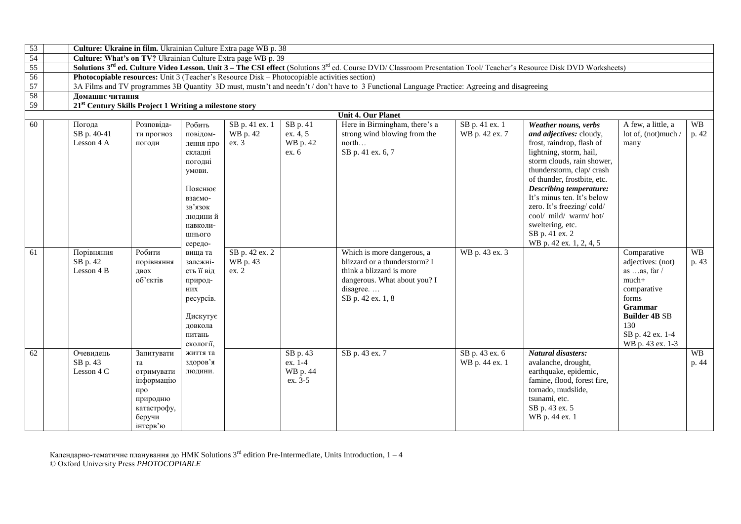| 53 |                                                                     |                                                                                                      |                                                                                                                                              | Culture: Ukraine in film. Ukrainian Culture Extra page WB p. 38                              |                                            |                                                                                                                                                                                             |                                  |                                                                                                                                                                                                                                                                                                                                                                                         |                                                                                                                                                                       |                    |
|----|---------------------------------------------------------------------|------------------------------------------------------------------------------------------------------|----------------------------------------------------------------------------------------------------------------------------------------------|----------------------------------------------------------------------------------------------|--------------------------------------------|---------------------------------------------------------------------------------------------------------------------------------------------------------------------------------------------|----------------------------------|-----------------------------------------------------------------------------------------------------------------------------------------------------------------------------------------------------------------------------------------------------------------------------------------------------------------------------------------------------------------------------------------|-----------------------------------------------------------------------------------------------------------------------------------------------------------------------|--------------------|
| 54 |                                                                     |                                                                                                      |                                                                                                                                              | Culture: What's on TV? Ukrainian Culture Extra page WB p. 39                                 |                                            |                                                                                                                                                                                             |                                  |                                                                                                                                                                                                                                                                                                                                                                                         |                                                                                                                                                                       |                    |
| 55 |                                                                     |                                                                                                      |                                                                                                                                              |                                                                                              |                                            | Solutions 3 <sup>rd</sup> ed. Culture Video Lesson. Unit 3 – The CSI effect (Solutions 3 <sup>rd</sup> ed. Course DVD/ Classroom Presentation Tool/ Teacher's Resource Disk DVD Worksheets) |                                  |                                                                                                                                                                                                                                                                                                                                                                                         |                                                                                                                                                                       |                    |
| 56 |                                                                     |                                                                                                      |                                                                                                                                              | Photocopiable resources: Unit 3 (Teacher's Resource Disk – Photocopiable activities section) |                                            |                                                                                                                                                                                             |                                  |                                                                                                                                                                                                                                                                                                                                                                                         |                                                                                                                                                                       |                    |
| 57 |                                                                     |                                                                                                      |                                                                                                                                              |                                                                                              |                                            | 3A Films and TV programmes 3B Quantity 3D must, mustn't and needn't / don't have to 3 Functional Language Practice: Agreeing and disagreeing                                                |                                  |                                                                                                                                                                                                                                                                                                                                                                                         |                                                                                                                                                                       |                    |
| 58 | Ломашнє читання                                                     |                                                                                                      |                                                                                                                                              |                                                                                              |                                            |                                                                                                                                                                                             |                                  |                                                                                                                                                                                                                                                                                                                                                                                         |                                                                                                                                                                       |                    |
| 59 | 21 <sup>st</sup> Century Skills Project 1 Writing a milestone story |                                                                                                      |                                                                                                                                              |                                                                                              |                                            |                                                                                                                                                                                             |                                  |                                                                                                                                                                                                                                                                                                                                                                                         |                                                                                                                                                                       |                    |
|    |                                                                     |                                                                                                      |                                                                                                                                              |                                                                                              |                                            | <b>Unit 4. Our Planet</b>                                                                                                                                                                   |                                  |                                                                                                                                                                                                                                                                                                                                                                                         |                                                                                                                                                                       |                    |
| 60 | Погода<br>SB p. 40-41<br>Lesson 4 A                                 | Розповіда-<br>ти прогноз<br>погоди                                                                   | Робить<br>повідом-<br>лення про<br>складні<br>погодні<br>умови.<br>Пояснює<br>взаємо-<br>зв'язок<br>людиний<br>навколи-<br>ШНЬОГО<br>середо- | SB p. 41 ex. 1<br>WB p. 42<br>ex.3                                                           | SB p. 41<br>ex. 4, 5<br>WB p. 42<br>ex. 6  | Here in Birmingham, there's a<br>strong wind blowing from the<br>north<br>SB p. 41 ex. 6, 7                                                                                                 | SB p. 41 ex. 1<br>WB p. 42 ex. 7 | Weather nouns, verbs<br>and adjectives: cloudy,<br>frost, raindrop, flash of<br>lightning, storm, hail,<br>storm clouds, rain shower,<br>thunderstorm, clap/crash<br>of thunder, frostbite, etc.<br><b>Describing temperature:</b><br>It's minus ten. It's below<br>zero. It's freezing/cold/<br>cool/ mild/ warm/hot/<br>sweltering, etc.<br>SB p. 41 ex. 2<br>WB p. 42 ex. 1, 2, 4, 5 | A few, a little, a<br>lot of, (not)much /<br>many                                                                                                                     | <b>WB</b><br>p. 42 |
| 61 | Порівняння<br>SB p. 42<br>Lesson 4 B                                | Робити<br>порівняння<br>двох<br>об'єктів                                                             | вища та<br>залежні-<br>сть її від<br>природ-<br>них<br>ресурсів.<br>Дискутує<br>довкола<br>питань<br>екології,                               | SB p. 42 ex. 2<br>WB p. 43<br>ex. 2                                                          |                                            | Which is more dangerous, a<br>blizzard or a thunderstorm? I<br>think a blizzard is more<br>dangerous. What about you? I<br>disagree<br>SB p. 42 ex. 1, 8                                    | WB p. 43 ex. 3                   |                                                                                                                                                                                                                                                                                                                                                                                         | Comparative<br>adjectives: (not)<br>as as, far $/$<br>much+<br>comparative<br>forms<br>Grammar<br><b>Builder 4B SB</b><br>130<br>SB p. 42 ex. 1-4<br>WB p. 43 ex. 1-3 | <b>WB</b><br>p. 43 |
| 62 | Очевидець<br>SB p. 43<br>Lesson 4 C                                 | Запитувати<br>та<br>отримувати<br>інформацію<br>про<br>природню<br>катастрофу,<br>беручи<br>інтерв'ю | життя та<br>здоров'я<br>людини.                                                                                                              |                                                                                              | SB p. 43<br>ex. 1-4<br>WB p. 44<br>ex. 3-5 | SB p. 43 ex. 7                                                                                                                                                                              | SB p. 43 ex. 6<br>WB p. 44 ex. 1 | Natural disasters:<br>avalanche, drought,<br>earthquake, epidemic,<br>famine, flood, forest fire,<br>tornado, mudslide,<br>tsunami, etc.<br>SB p. 43 ex. 5<br>WB p. 44 ex. 1                                                                                                                                                                                                            |                                                                                                                                                                       | <b>WB</b><br>p. 44 |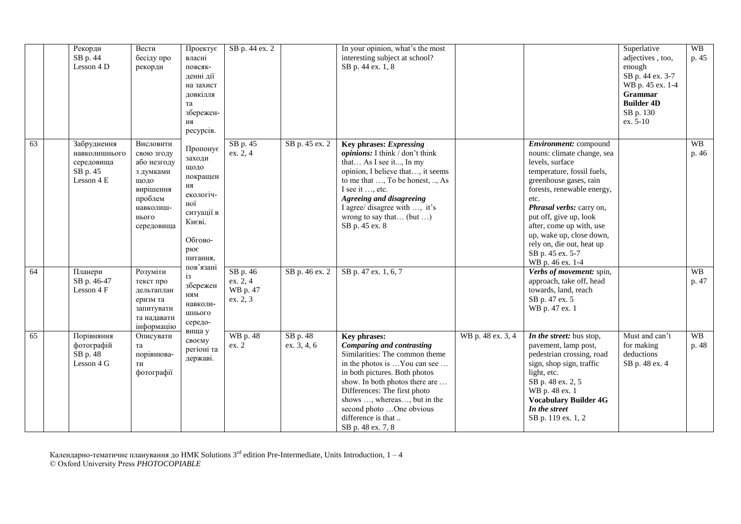|    | Рекорди<br>SB p. 44<br>Lesson 4 D                                    | Вести<br>бесіду про<br>рекорди                                                                                          | Проектує<br>власні<br>повсяк-<br>денні дії<br>на захист<br>довкілля<br>та<br>збережен-<br>ня<br>ресурсів.              | SB p. 44 ex. 2                                          |                         | In your opinion, what's the most<br>interesting subject at school?<br>SB p. 44 ex. 1, 8                                                                                                                                                                                                                                     |                   |                                                                                                                                                                                                                                                                                                                                                         | Superlative<br>adjectives, too,<br>enough<br>SB p. 44 ex. 3-7<br>WB p. 45 ex. 1-4<br>Grammar<br><b>Builder 4D</b><br>SB p. 130<br>ex. 5-10 | <b>WB</b><br>p. 45 |
|----|----------------------------------------------------------------------|-------------------------------------------------------------------------------------------------------------------------|------------------------------------------------------------------------------------------------------------------------|---------------------------------------------------------|-------------------------|-----------------------------------------------------------------------------------------------------------------------------------------------------------------------------------------------------------------------------------------------------------------------------------------------------------------------------|-------------------|---------------------------------------------------------------------------------------------------------------------------------------------------------------------------------------------------------------------------------------------------------------------------------------------------------------------------------------------------------|--------------------------------------------------------------------------------------------------------------------------------------------|--------------------|
| 63 | Забруднення<br>навколишнього<br>середовища<br>SB p. 45<br>Lesson 4 E | Висловити<br>свою згоду<br>або незгоду<br>з думками<br>ЩОДО<br>вирішення<br>проблем<br>навколиш-<br>нього<br>середовища | Пропонує<br>заходи<br>щодо<br>покращен<br>ня<br>екологіч-<br>ної<br>ситуації в<br>Києві.<br>Обгово-<br>рює<br>питання, | SB p. 45<br>ex. 2, 4                                    | SB p. 45 ex. 2          | Key phrases: Expressing<br>opinions: I think / don't think<br>that As I see it, In my<br>opinion, I believe that, it seems<br>to me that , To be honest, , As<br>I see it , etc.<br>Agreeing and disagreeing<br>I agree/ disagree with , it's<br>wrong to say that (but )<br>SB p. 45 ex. 8                                 |                   | Environment: compound<br>nouns: climate change, sea<br>levels, surface<br>temperature, fossil fuels,<br>greenhouse gases, rain<br>forests, renewable energy,<br>etc.<br>Phrasal verbs: carry on,<br>put off, give up, look<br>after, come up with, use<br>up, wake up, close down,<br>rely on, die out, heat up<br>SB p. 45 ex. 5-7<br>WB p. 46 ex. 1-4 |                                                                                                                                            | <b>WB</b><br>p. 46 |
| 64 | Планери<br>SB p. 46-47<br>Lesson 4 F                                 | Розуміти<br>текст про<br>дельтаплан<br>еризм та<br>запитувати<br>та надавати<br>інформацію                              | пов'язані<br>iз.<br>збережен<br>ням<br>навколи-<br>ШНЬОГО<br>середо-                                                   | $\overline{SBp.46}$<br>ex. 2, 4<br>WB p. 47<br>ex. 2, 3 | SB p. 46 ex. 2          | SB p. 47 ex. 1, 6, 7                                                                                                                                                                                                                                                                                                        |                   | Verbs of movement: spin,<br>approach, take off, head<br>towards, land, reach<br>SB p. 47 ex. 5<br>WB p. 47 ex. 1                                                                                                                                                                                                                                        |                                                                                                                                            | <b>WB</b><br>p. 47 |
| 65 | Порівняння<br>фотографій<br>SB p. 48<br>Lesson 4 G                   | Описувати<br>та<br>порівнюва-<br>ТИ<br>фотографії                                                                       | вища у<br>своєму<br>регіоні та<br>державі.                                                                             | WB p. 48<br>ex. 2                                       | SB p. 48<br>ex. 3, 4, 6 | Key phrases:<br><b>Comparing and contrasting</b><br>Similarities: The common theme<br>in the photos is You can see<br>in both pictures. Both photos<br>show. In both photos there are<br>Differences: The first photo<br>shows , whereas, but in the<br>second photo One obvious<br>difference is that<br>SB p. 48 ex. 7, 8 | WB p. 48 ex. 3, 4 | In the street: bus stop,<br>pavement, lamp post,<br>pedestrian crossing, road<br>sign, shop sign, traffic<br>light, etc.<br>SB p. 48 ex. 2, 5<br>WB p. 48 ex. 1<br><b>Vocabulary Builder 4G</b><br>In the street<br>SB p. 119 ex. 1, 2                                                                                                                  | Must and can't<br>for making<br>deductions<br>SB p. 48 ex. 4                                                                               | <b>WB</b><br>p. 48 |